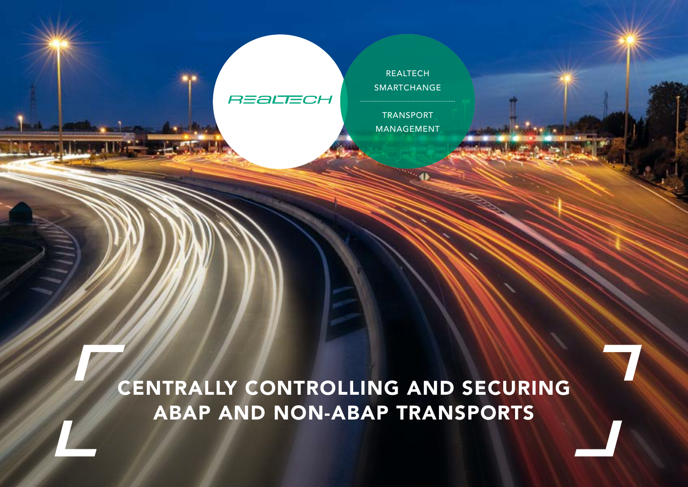## **REALTECH**

TRANSPORT MANAGEMENT

REALTECH [SMARTCHANGE](https://www.realtech.com/smartchange-transport-management/?lang=en&utm_campaign=2020_SAP_ChangeMgmt&utm_source=FactSheet_TM-en&utm_content=TM) 

CENTRALLY CONTROLLING AND SECURING ABAP AND NON-ABAP TRANSPORTS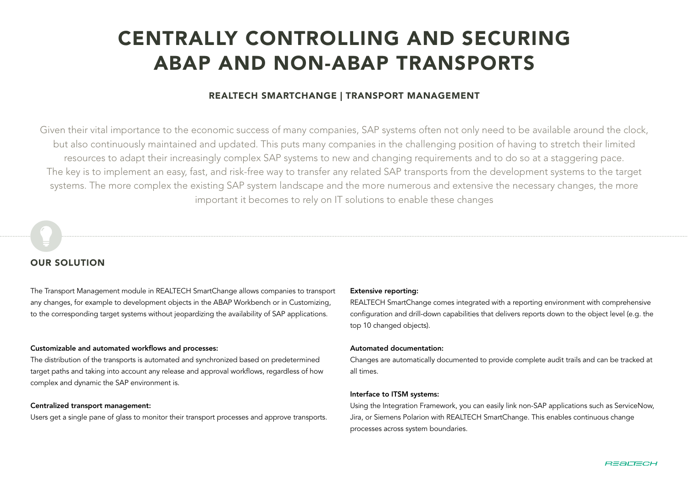# CENTRALLY CONTROLLING AND SECURING ABAP AND NON-ABAP TRANSPORTS

### REALTECH SMARTCHANGE | TRANSPORT MANAGEMENT

Given their vital importance to the economic success of many companies, SAP systems often not only need to be available around the clock, but also continuously maintained and updated. This puts many companies in the challenging position of having to stretch their limited resources to adapt their increasingly complex SAP systems to new and changing requirements and to do so at a staggering pace. The key is to implement an easy, fast, and risk-free way to transfer any related SAP transports from the development systems to the target systems. The more complex the existing SAP system landscape and the more numerous and extensive the necessary changes, the more important it becomes to rely on IT solutions to enable these changes

#### OUR SOLUTION

The Transport Management module in REALTECH SmartChange allows companies to transport any changes, for example to development objects in the ABAP Workbench or in Customizing, to the corresponding target systems without jeopardizing the availability of SAP applications.

#### Customizable and automated workflows and processes:

The distribution of the transports is automated and synchronized based on predetermined target paths and taking into account any release and approval workflows, regardless of how complex and dynamic the SAP environment is.

#### Centralized transport management:

Users get a single pane of glass to monitor their transport processes and approve transports.

#### Extensive reporting:

REALTECH SmartChange comes integrated with a reporting environment with comprehensive configuration and drill-down capabilities that delivers reports down to the object level (e.g. the top 10 changed objects).

#### Automated documentation:

Changes are automatically documented to provide complete audit trails and can be tracked at all times.

#### Interface to ITSM systems:

Using the Integration Framework, you can easily link non-SAP applications such as ServiceNow, Jira, or Siemens Polarion with REALTECH SmartChange. This enables continuous change processes across system boundaries.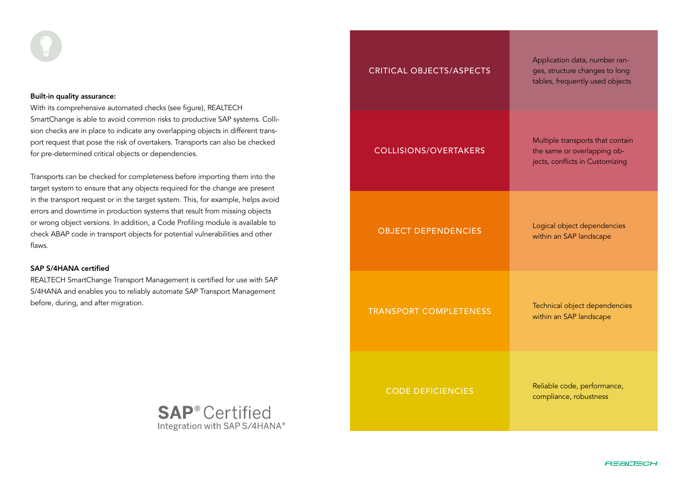#### Built-in quality assurance:

With its comprehensive automated checks (see figure), REALTECH SmartChange is able to avoid common risks to productive SAP systems. Collision checks are in place to indicate any overlapping objects in different transport request that pose the risk of overtakers. Transports can also be checked for pre-determined critical objects or dependencies.

Transports can be checked for completeness before importing them into the target system to ensure that any objects required for the change are present in the transport request or in the target system. This, for example, helps avoid errors and downtime in production systems that result from missing objects or wrong object versions. In addition, a Code Profiling module is available to check ABAP code in transport objects for potential vulnerabilities and other flaws.

#### SAP S/4HANA certified

REALTECH SmartChange Transport Management is certified for use with SAP S/4HANA and enables you to reliably automate SAP Transport Management before, during, and after migration.



| <b>CRITICAL OBJECTS/ASPECTS</b> | Application data, number ran-<br>ges, structure changes to long<br>tables, frequently used objects |
|---------------------------------|----------------------------------------------------------------------------------------------------|
| <b>COLLISIONS/OVERTAKERS</b>    | Multiple transports that contain<br>the same or overlapping ob-<br>jects, conflicts in Customizing |
| <b>OBJECT DEPENDENCIES</b>      | Logical object dependencies<br>within an SAP landscape                                             |
| <b>TRANSPORT COMPLETENESS</b>   | Technical object dependencies<br>within an SAP landscape                                           |
| <b>CODE DEFICIENCIES</b>        | Reliable code, performance,<br>compliance, robustness                                              |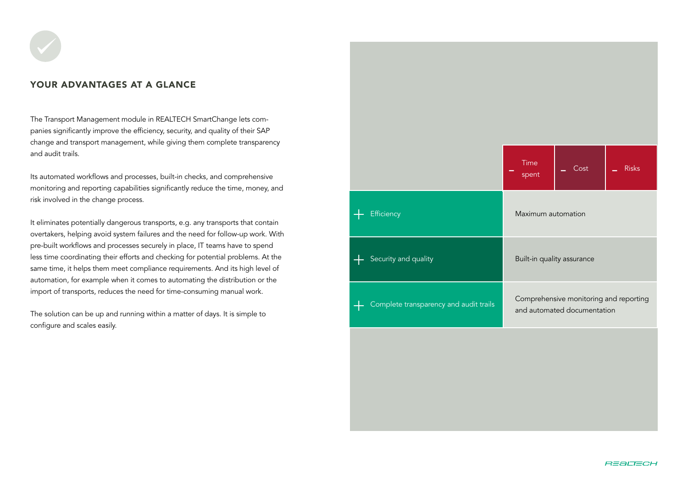#### YOUR ADVANTAGES AT A GLANCE

The Transport Management module in REALTECH SmartChange lets companies significantly improve the efficiency, security, and quality of their SAP change and transport management, while giving them complete transparency and audit trails.

Its automated workflows and processes, built-in checks, and comprehensive monitoring and reporting capabilities significantly reduce the time, money, and risk involved in the change process.

It eliminates potentially dangerous transports, e.g. any transports that contain overtakers, helping avoid system failures and the need for follow-up work. With pre-built workflows and processes securely in place, IT teams have to spend less time coordinating their efforts and checking for potential problems. At the same time, it helps them meet compliance requirements. And its high level of automation, for example when it comes to automating the distribution or the import of transports, reduces the need for time-consuming manual work.

The solution can be up and running within a matter of days. It is simple to configure and scales easily.

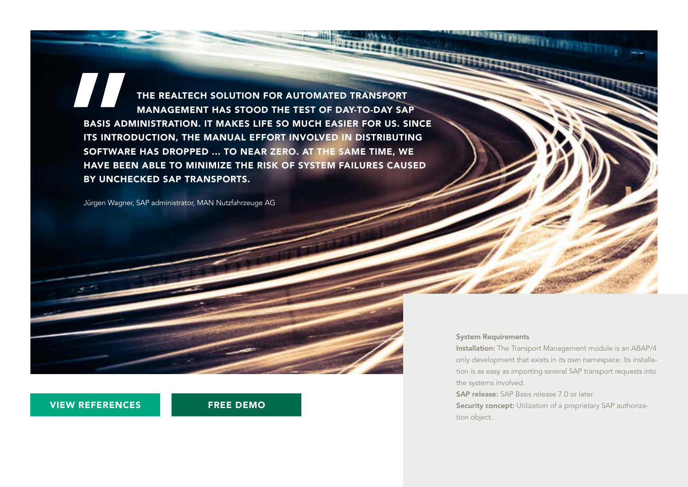THE REALTECH SOLUTION FOR AUTOMATED TRANSPORT MANAGEMENT HAS STOOD THE TEST OF DAY-TO-DAY SAP BASIS ADMINISTRATION. IT MAKES LIFE SO MUCH EASIER FOR US. SINCE ITS INTRODUCTION, THE MANUAL EFFORT INVOLVED IN DISTRIBUTING SOFTWARE HAS DROPPED ... TO NEAR ZERO. AT THE SAME TIME, WE HAVE BEEN ABLE TO MINIMIZE THE RISK OF SYSTEM FAILURES CAUSED BY UNCHECKED SAP TRANSPORTS.

Jürgen Wagner, SAP administrator, MAN Nutzfahrzeuge AG

#### [VIEW REFERENCES](https://www.realtech.com/references/?lang=en&utm_campaign=2020_SAP_ChangeMgmt&utm_source=FactSheet_TM-en&utm_content=Ref) [FREE DEMO](https://www.realtech.com/demotermin-anfragen-devops-fuer-sap-tools/?lang=en&utm_campaign=2020_SAP_ChangeMgmt&utm_source=FactSheet_TM-en&utm_content=demo)

#### System Requirements

Installation: The Transport Management module is an ABAP/4 only development that exists in its own namespace. Its installation is as easy as importing several SAP transport requests into the systems involved.

SAP release: SAP Basis release 7.0 or later.

Security concept: Utilization of a proprietary SAP authorization object.